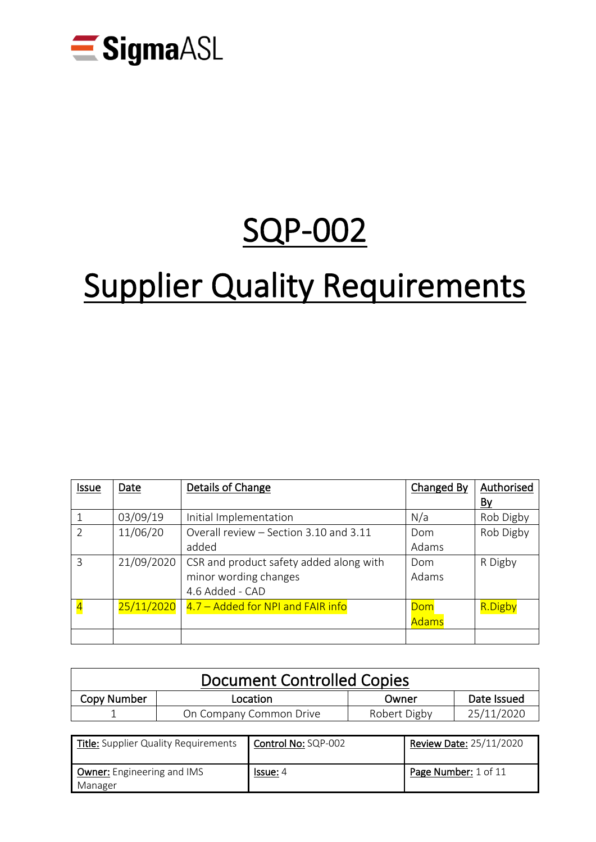

# SQP-002

# **Supplier Quality Requirements**

| <b>Issue</b>            | Date       | Details of Change                       | Changed By   | Authorised |
|-------------------------|------------|-----------------------------------------|--------------|------------|
|                         |            |                                         |              | By         |
| $\mathbf 1$             | 03/09/19   | Initial Implementation                  | N/a          | Rob Digby  |
| $\overline{2}$          | 11/06/20   | Overall review - Section 3.10 and 3.11  | Dom          | Rob Digby  |
|                         |            | added                                   | Adams        |            |
| $\overline{3}$          | 21/09/2020 | CSR and product safety added along with | Dom          | R Digby    |
|                         |            | minor wording changes                   | Adams        |            |
|                         |            | 4.6 Added - CAD                         |              |            |
| $\overline{\mathbf{A}}$ | 25/11/2020 | 4.7 - Added for NPI and FAIR info       | Dom          | R.Digby    |
|                         |            |                                         | <b>Adams</b> |            |
|                         |            |                                         |              |            |

| Document Controlled Copies |                         |              |             |  |
|----------------------------|-------------------------|--------------|-------------|--|
| Copy Number                | Location                | Owner        | Date Issued |  |
|                            | On Company Common Drive | Robert Digby | 25/11/2020  |  |

| <b>Title:</b> Supplier Quality Requirements  | Control No: SQP-002 | Review Date: 25/11/2020 |
|----------------------------------------------|---------------------|-------------------------|
| <b>Owner:</b> Engineering and IMS<br>Manager | <u>Issue:</u> 4     | Page Number: 1 of 11    |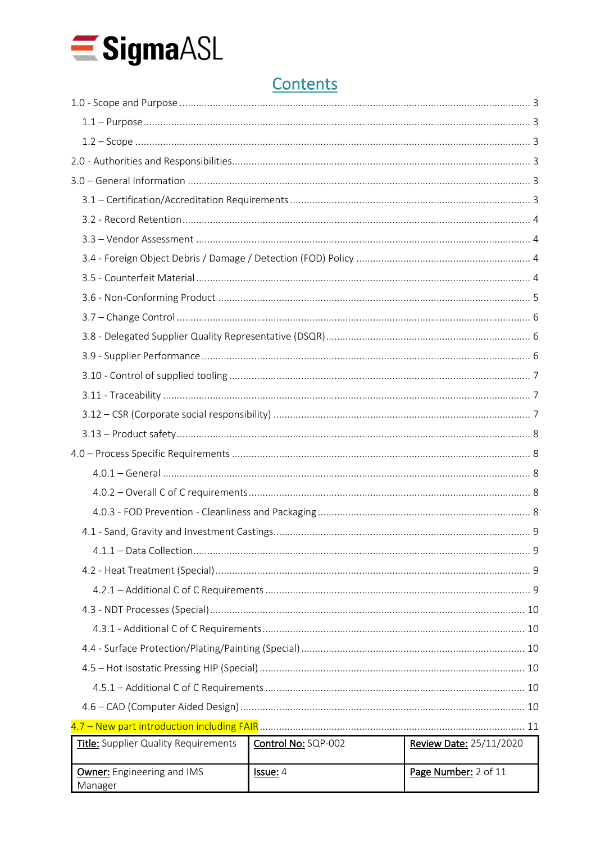

# Contents

| Title: Supplier Quality Requirements         | Control No: SQP-002 | <b>Review Date: 25/11/2020</b> |  |
|----------------------------------------------|---------------------|--------------------------------|--|
| <b>Owner:</b> Engineering and IMS<br>Manager | Issue: 4            | Page Number: 2 of 11           |  |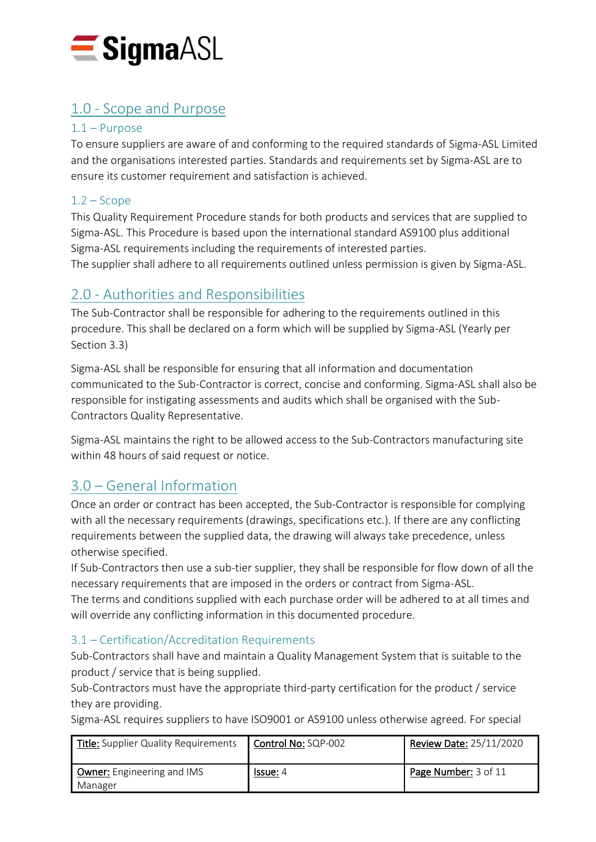

# <span id="page-2-0"></span>1.0 - Scope and Purpose

# <span id="page-2-1"></span>1.1 – Purpose

To ensure suppliers are aware of and conforming to the required standards of Sigma-ASL Limited and the organisations interested parties. Standards and requirements set by Sigma-ASL are to ensure its customer requirement and satisfaction is achieved.

# <span id="page-2-2"></span> $1.2 -$ Scope

This Quality Requirement Procedure stands for both products and services that are supplied to Sigma-ASL. This Procedure is based upon the international standard AS9100 plus additional Sigma-ASL requirements including the requirements of interested parties. The supplier shall adhere to all requirements outlined unless permission is given by Sigma-ASL.

# <span id="page-2-3"></span>2.0 - Authorities and Responsibilities

The Sub-Contractor shall be responsible for adhering to the requirements outlined in this procedure. This shall be declared on a form which will be supplied by Sigma-ASL (Yearly per Section 3.3)

Sigma-ASL shall be responsible for ensuring that all information and documentation communicated to the Sub-Contractor is correct, concise and conforming. Sigma-ASL shall also be responsible for instigating assessments and audits which shall be organised with the Sub-Contractors Quality Representative.

Sigma-ASL maintains the right to be allowed access to the Sub-Contractors manufacturing site within 48 hours of said request or notice.

# <span id="page-2-4"></span>3.0 – General Information

Once an order or contract has been accepted, the Sub-Contractor is responsible for complying with all the necessary requirements (drawings, specifications etc.). If there are any conflicting requirements between the supplied data, the drawing will always take precedence, unless otherwise specified.

If Sub-Contractors then use a sub-tier supplier, they shall be responsible for flow down of all the necessary requirements that are imposed in the orders or contract from Sigma-ASL. The terms and conditions supplied with each purchase order will be adhered to at all times and will override any conflicting information in this documented procedure.

# <span id="page-2-5"></span>3.1 – Certification/Accreditation Requirements

Sub-Contractors shall have and maintain a Quality Management System that is suitable to the product / service that is being supplied.

Sub-Contractors must have the appropriate third-party certification for the product / service they are providing.

Sigma-ASL requires suppliers to have ISO9001 or AS9100 unless otherwise agreed. For special

| <b>Title:</b> Supplier Quality Requirements  | Control No: SQP-002 | <b>Review Date: 25/11/2020</b> |
|----------------------------------------------|---------------------|--------------------------------|
| <b>Owner:</b> Engineering and IMS<br>Manager | <u>Issue:</u> 4     | Page Number: 3 of 11           |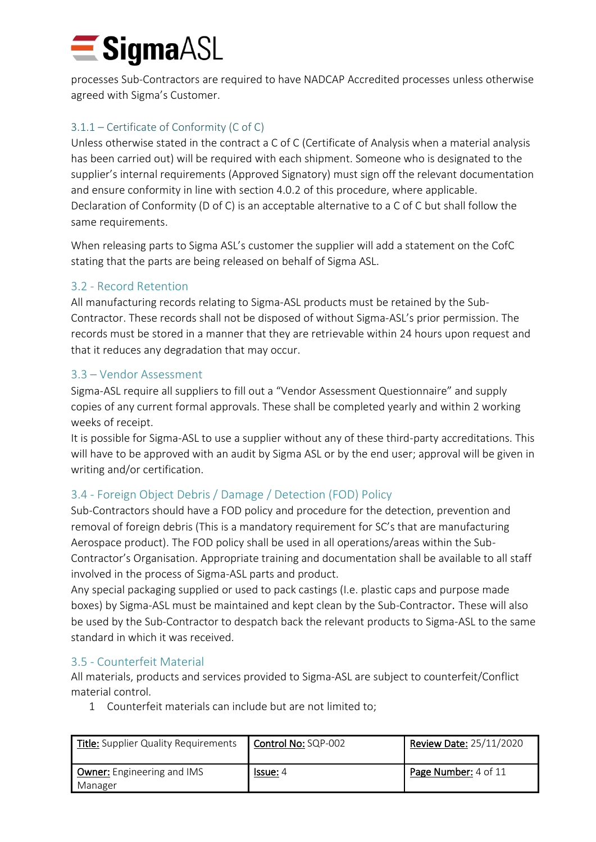# $\blacksquare$  Sigma $\triangle$ SL

processes Sub-Contractors are required to have NADCAP Accredited processes unless otherwise agreed with Sigma's Customer.

# 3.1.1 – Certificate of Conformity (C of C)

Unless otherwise stated in the contract a C of C (Certificate of Analysis when a material analysis has been carried out) will be required with each shipment. Someone who is designated to the supplier's internal requirements (Approved Signatory) must sign off the relevant documentation and ensure conformity in line with section 4.0.2 of this procedure, where applicable. Declaration of Conformity (D of C) is an acceptable alternative to a C of C but shall follow the same requirements.

When releasing parts to Sigma ASL's customer the supplier will add a statement on the CofC stating that the parts are being released on behalf of Sigma ASL.

# <span id="page-3-0"></span>3.2 - Record Retention

All manufacturing records relating to Sigma-ASL products must be retained by the Sub-Contractor. These records shall not be disposed of without Sigma-ASL's prior permission. The records must be stored in a manner that they are retrievable within 24 hours upon request and that it reduces any degradation that may occur.

# <span id="page-3-1"></span>3.3 – Vendor Assessment

Sigma-ASL require all suppliers to fill out a "Vendor Assessment Questionnaire" and supply copies of any current formal approvals. These shall be completed yearly and within 2 working weeks of receipt.

It is possible for Sigma-ASL to use a supplier without any of these third-party accreditations. This will have to be approved with an audit by Sigma ASL or by the end user; approval will be given in writing and/or certification.

# <span id="page-3-2"></span>3.4 - Foreign Object Debris / Damage / Detection (FOD) Policy

Sub-Contractors should have a FOD policy and procedure for the detection, prevention and removal of foreign debris (This is a mandatory requirement for SC's that are manufacturing Aerospace product). The FOD policy shall be used in all operations/areas within the Sub-Contractor's Organisation. Appropriate training and documentation shall be available to all staff involved in the process of Sigma-ASL parts and product.

Any special packaging supplied or used to pack castings (I.e. plastic caps and purpose made boxes) by Sigma-ASL must be maintained and kept clean by the Sub-Contractor. These will also be used by the Sub-Contractor to despatch back the relevant products to Sigma-ASL to the same standard in which it was received.

# <span id="page-3-3"></span>3.5 - Counterfeit Material

All materials, products and services provided to Sigma-ASL are subject to counterfeit/Conflict material control.

1 Counterfeit materials can include but are not limited to;

| Title: Supplier Quality Requirements         | Control No: SQP-002 | <b>Review Date: 25/11/2020</b> |
|----------------------------------------------|---------------------|--------------------------------|
| <b>Owner:</b> Engineering and IMS<br>Manager | <u>lssue:</u> 4     | Page Number: 4 of 11           |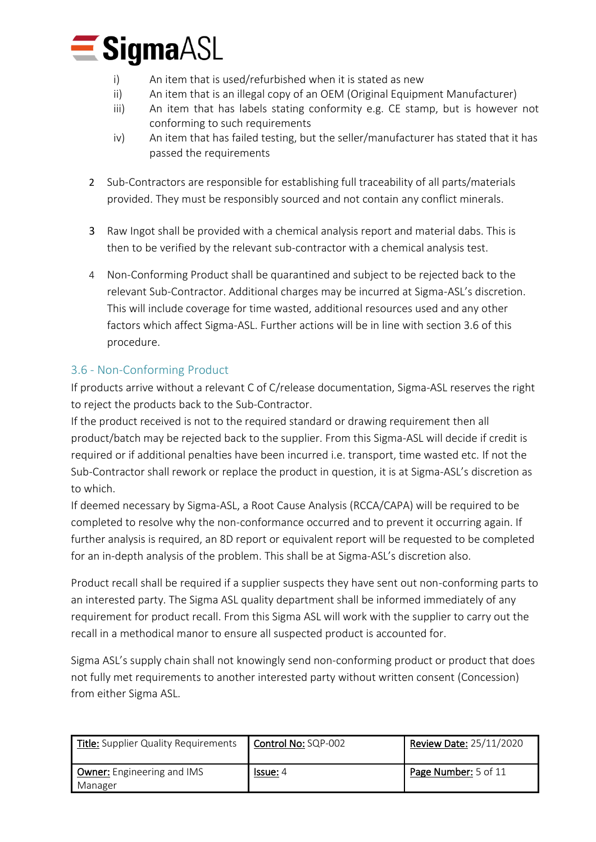

- i) An item that is used/refurbished when it is stated as new
- ii) An item that is an illegal copy of an OEM (Original Equipment Manufacturer)
- iii) An item that has labels stating conformity e.g. CE stamp, but is however not conforming to such requirements
- iv) An item that has failed testing, but the seller/manufacturer has stated that it has passed the requirements
- 2 Sub-Contractors are responsible for establishing full traceability of all parts/materials provided. They must be responsibly sourced and not contain any conflict minerals.
- 3 Raw Ingot shall be provided with a chemical analysis report and material dabs. This is then to be verified by the relevant sub-contractor with a chemical analysis test.
- 4 Non-Conforming Product shall be quarantined and subject to be rejected back to the relevant Sub-Contractor. Additional charges may be incurred at Sigma-ASL's discretion. This will include coverage for time wasted, additional resources used and any other factors which affect Sigma-ASL. Further actions will be in line with section 3.6 of this procedure.

# <span id="page-4-0"></span>3.6 - Non-Conforming Product

If products arrive without a relevant C of C/release documentation, Sigma-ASL reserves the right to reject the products back to the Sub-Contractor.

If the product received is not to the required standard or drawing requirement then all product/batch may be rejected back to the supplier. From this Sigma-ASL will decide if credit is required or if additional penalties have been incurred i.e. transport, time wasted etc. If not the Sub-Contractor shall rework or replace the product in question, it is at Sigma-ASL's discretion as to which.

If deemed necessary by Sigma-ASL, a Root Cause Analysis (RCCA/CAPA) will be required to be completed to resolve why the non-conformance occurred and to prevent it occurring again. If further analysis is required, an 8D report or equivalent report will be requested to be completed for an in-depth analysis of the problem. This shall be at Sigma-ASL's discretion also.

Product recall shall be required if a supplier suspects they have sent out non-conforming parts to an interested party. The Sigma ASL quality department shall be informed immediately of any requirement for product recall. From this Sigma ASL will work with the supplier to carry out the recall in a methodical manor to ensure all suspected product is accounted for.

Sigma ASL's supply chain shall not knowingly send non-conforming product or product that does not fully met requirements to another interested party without written consent (Concession) from either Sigma ASL.

| Title: Supplier Quality Requirements         | Control No: SQP-002 | <b>Review Date: 25/11/2020</b> |
|----------------------------------------------|---------------------|--------------------------------|
| <b>Owner:</b> Engineering and IMS<br>Manager | <b>Issue:</b> 4     | Page Number: 5 of 11           |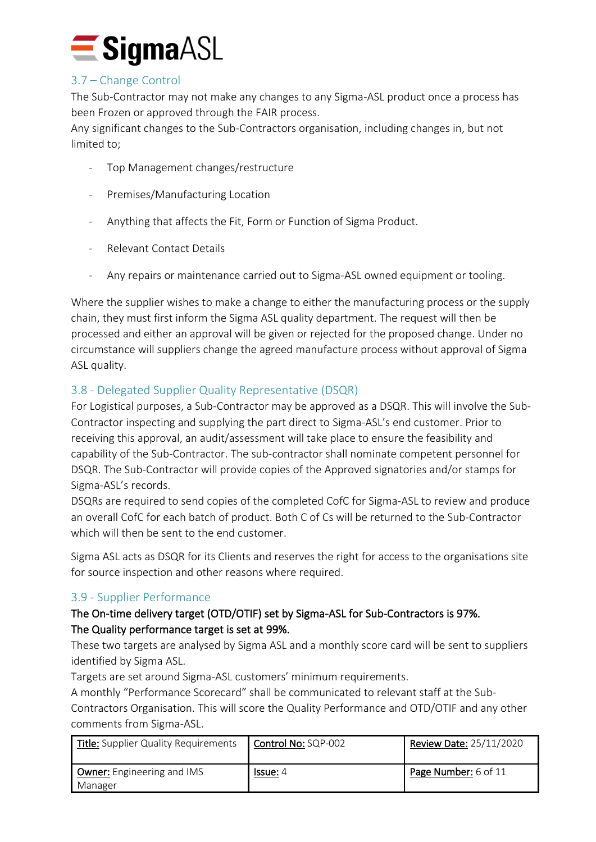

# <span id="page-5-0"></span>3.7 – Change Control

The Sub-Contractor may not make any changes to any Sigma-ASL product once a process has been Frozen or approved through the FAIR process.

Any significant changes to the Sub-Contractors organisation, including changes in, but not limited to;

- Top Management changes/restructure
- Premises/Manufacturing Location
- Anything that affects the Fit, Form or Function of Sigma Product.
- Relevant Contact Details
- Any repairs or maintenance carried out to Sigma-ASL owned equipment or tooling.

Where the supplier wishes to make a change to either the manufacturing process or the supply chain, they must first inform the Sigma ASL quality department. The request will then be processed and either an approval will be given or rejected for the proposed change. Under no circumstance will suppliers change the agreed manufacture process without approval of Sigma ASL quality.

# <span id="page-5-1"></span>3.8 - Delegated Supplier Quality Representative (DSQR)

For Logistical purposes, a Sub-Contractor may be approved as a DSQR. This will involve the Sub-Contractor inspecting and supplying the part direct to Sigma-ASL's end customer. Prior to receiving this approval, an audit/assessment will take place to ensure the feasibility and capability of the Sub-Contractor. The sub-contractor shall nominate competent personnel for DSQR. The Sub-Contractor will provide copies of the Approved signatories and/or stamps for Sigma-ASL's records.

DSQRs are required to send copies of the completed CofC for Sigma-ASL to review and produce an overall CofC for each batch of product. Both C of Cs will be returned to the Sub-Contractor which will then be sent to the end customer.

Sigma ASL acts as DSQR for its Clients and reserves the right for access to the organisations site for source inspection and other reasons where required.

## <span id="page-5-2"></span>3.9 - Supplier Performance

# The On-time delivery target (OTD/OTIF) set by Sigma-ASL for Sub-Contractors is 97%. The Quality performance target is set at 99%.

These two targets are analysed by Sigma ASL and a monthly score card will be sent to suppliers identified by Sigma ASL.

Targets are set around Sigma-ASL customers' minimum requirements.

A monthly "Performance Scorecard" shall be communicated to relevant staff at the Sub-

Contractors Organisation. This will score the Quality Performance and OTD/OTIF and any other comments from Sigma-ASL.

| <b>Title:</b> Supplier Quality Requirements  | Control No: SQP-002 | <b>Review Date: 25/11/2020</b> |
|----------------------------------------------|---------------------|--------------------------------|
| <b>Owner:</b> Engineering and IMS<br>Manager | <b>Issue:</b> 4     | Page Number: 6 of 11           |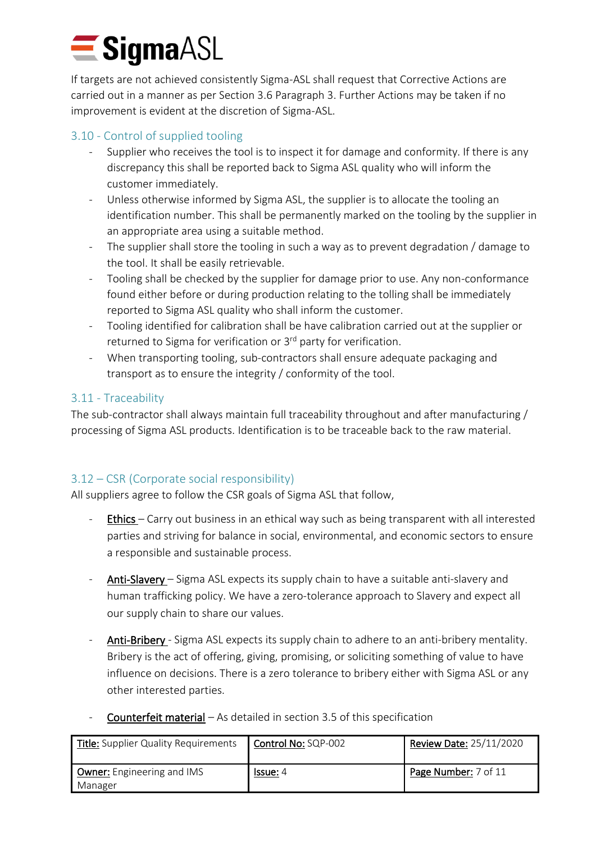# $\blacksquare$  Sigma $\triangle$ SL

If targets are not achieved consistently Sigma-ASL shall request that Corrective Actions are carried out in a manner as per Section 3.6 Paragraph 3. Further Actions may be taken if no improvement is evident at the discretion of Sigma-ASL.

# <span id="page-6-0"></span>3.10 - Control of supplied tooling

- Supplier who receives the tool is to inspect it for damage and conformity. If there is any discrepancy this shall be reported back to Sigma ASL quality who will inform the customer immediately.
- Unless otherwise informed by Sigma ASL, the supplier is to allocate the tooling an identification number. This shall be permanently marked on the tooling by the supplier in an appropriate area using a suitable method.
- The supplier shall store the tooling in such a way as to prevent degradation / damage to the tool. It shall be easily retrievable.
- Tooling shall be checked by the supplier for damage prior to use. Any non-conformance found either before or during production relating to the tolling shall be immediately reported to Sigma ASL quality who shall inform the customer.
- Tooling identified for calibration shall be have calibration carried out at the supplier or returned to Sigma for verification or 3<sup>rd</sup> party for verification.
- When transporting tooling, sub-contractors shall ensure adequate packaging and transport as to ensure the integrity / conformity of the tool.

# <span id="page-6-1"></span>3.11 - Traceability

The sub-contractor shall always maintain full traceability throughout and after manufacturing / processing of Sigma ASL products. Identification is to be traceable back to the raw material.

# <span id="page-6-2"></span>3.12 – CSR (Corporate social responsibility)

All suppliers agree to follow the CSR goals of Sigma ASL that follow,

- Ethics Carry out business in an ethical way such as being transparent with all interested parties and striving for balance in social, environmental, and economic sectors to ensure a responsible and sustainable process.
- Anti-Slavery Sigma ASL expects its supply chain to have a suitable anti-slavery and human trafficking policy. We have a zero-tolerance approach to Slavery and expect all our supply chain to share our values.
- Anti-Bribery Sigma ASL expects its supply chain to adhere to an anti-bribery mentality. Bribery is the act of offering, giving, promising, or soliciting something of value to have influence on decisions. There is a zero tolerance to bribery either with Sigma ASL or any other interested parties.
- **Counterfeit material** As detailed in section 3.5 of this specification

| <b>Title:</b> Supplier Quality Requirements  | Control No: SQP-002 | Review Date: 25/11/2020 |
|----------------------------------------------|---------------------|-------------------------|
| <b>Owner:</b> Engineering and IMS<br>Manager | <u>lssue:</u> 4     | Page Number: 7 of 11    |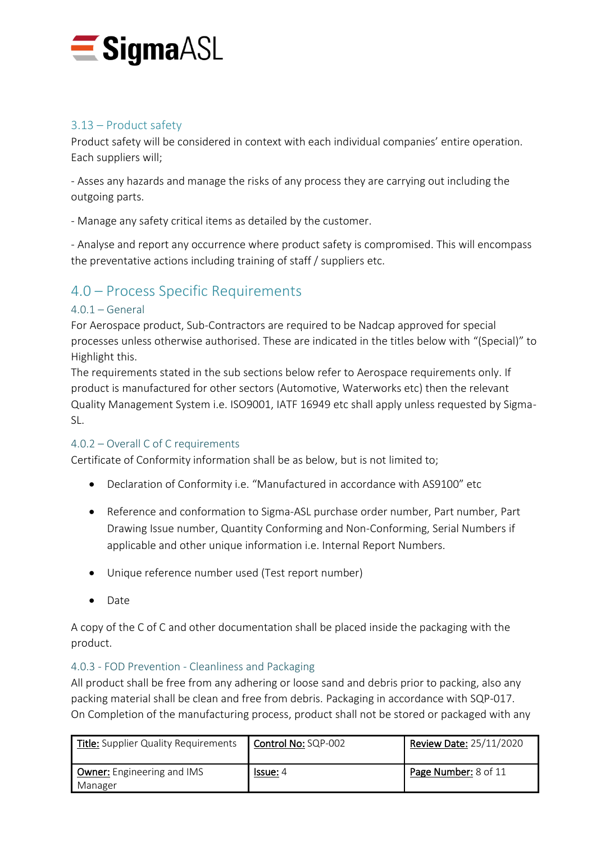

# <span id="page-7-0"></span>3.13 – Product safety

Product safety will be considered in context with each individual companies' entire operation. Each suppliers will;

- Asses any hazards and manage the risks of any process they are carrying out including the outgoing parts.

- Manage any safety critical items as detailed by the customer.

- Analyse and report any occurrence where product safety is compromised. This will encompass the preventative actions including training of staff / suppliers etc.

# <span id="page-7-1"></span>4.0 – Process Specific Requirements

## <span id="page-7-2"></span> $4.0.1 - General$

For Aerospace product, Sub-Contractors are required to be Nadcap approved for special processes unless otherwise authorised. These are indicated in the titles below with "(Special)" to Highlight this.

The requirements stated in the sub sections below refer to Aerospace requirements only. If product is manufactured for other sectors (Automotive, Waterworks etc) then the relevant Quality Management System i.e. ISO9001, IATF 16949 etc shall apply unless requested by Sigma-SL.

## <span id="page-7-3"></span>4.0.2 – Overall C of C requirements

Certificate of Conformity information shall be as below, but is not limited to;

- Declaration of Conformity i.e. "Manufactured in accordance with AS9100" etc
- Reference and conformation to Sigma-ASL purchase order number, Part number, Part Drawing Issue number, Quantity Conforming and Non-Conforming, Serial Numbers if applicable and other unique information i.e. Internal Report Numbers.
- Unique reference number used (Test report number)
- Date

A copy of the C of C and other documentation shall be placed inside the packaging with the product.

## <span id="page-7-4"></span>4.0.3 - FOD Prevention - Cleanliness and Packaging

All product shall be free from any adhering or loose sand and debris prior to packing, also any packing material shall be clean and free from debris. Packaging in accordance with SQP-017. On Completion of the manufacturing process, product shall not be stored or packaged with any

| <b>Title:</b> Supplier Quality Requirements | Control No: SQP-002 | <b>Review Date: 25/11/2020</b> |
|---------------------------------------------|---------------------|--------------------------------|
| Owner: Engineering and IMS<br>Manager       | <u>Issue:</u> 4     | Page Number: 8 of 11           |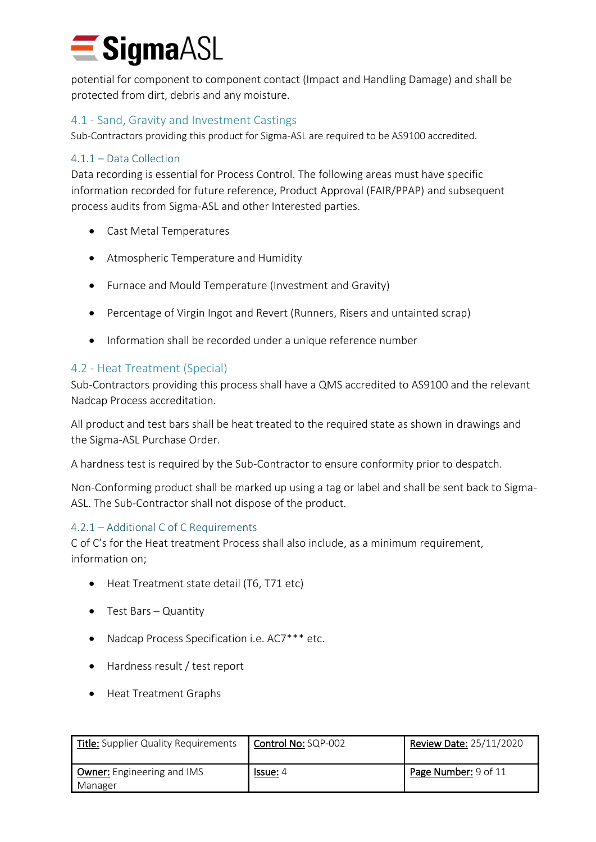potential for component to component contact (Impact and Handling Damage) and shall be protected from dirt, debris and any moisture.

# <span id="page-8-0"></span>4.1 - Sand, Gravity and Investment Castings

Sub-Contractors providing this product for Sigma-ASL are required to be AS9100 accredited.

# <span id="page-8-1"></span>4.1.1 – Data Collection

Data recording is essential for Process Control. The following areas must have specific information recorded for future reference, Product Approval (FAIR/PPAP) and subsequent process audits from Sigma-ASL and other Interested parties.

- Cast Metal Temperatures
- Atmospheric Temperature and Humidity
- Furnace and Mould Temperature (Investment and Gravity)
- Percentage of Virgin Ingot and Revert (Runners, Risers and untainted scrap)
- Information shall be recorded under a unique reference number

# <span id="page-8-2"></span>4.2 - Heat Treatment (Special)

Sub-Contractors providing this process shall have a QMS accredited to AS9100 and the relevant Nadcap Process accreditation.

All product and test bars shall be heat treated to the required state as shown in drawings and the Sigma-ASL Purchase Order.

A hardness test is required by the Sub-Contractor to ensure conformity prior to despatch.

Non-Conforming product shall be marked up using a tag or label and shall be sent back to Sigma-ASL. The Sub-Contractor shall not dispose of the product.

## <span id="page-8-3"></span>4.2.1 – Additional C of C Requirements

C of C's for the Heat treatment Process shall also include, as a minimum requirement, information on;

- Heat Treatment state detail (T6, T71 etc)
- Test Bars Quantity
- Nadcap Process Specification i.e. AC7\*\*\* etc.
- Hardness result / test report
- Heat Treatment Graphs

| <b>Title:</b> Supplier Quality Requirements  | Control No: SQP-002 | Review Date: 25/11/2020 |
|----------------------------------------------|---------------------|-------------------------|
| <b>Owner:</b> Engineering and IMS<br>Manager | <b>Issue:</b> 4     | Page Number: 9 of 11    |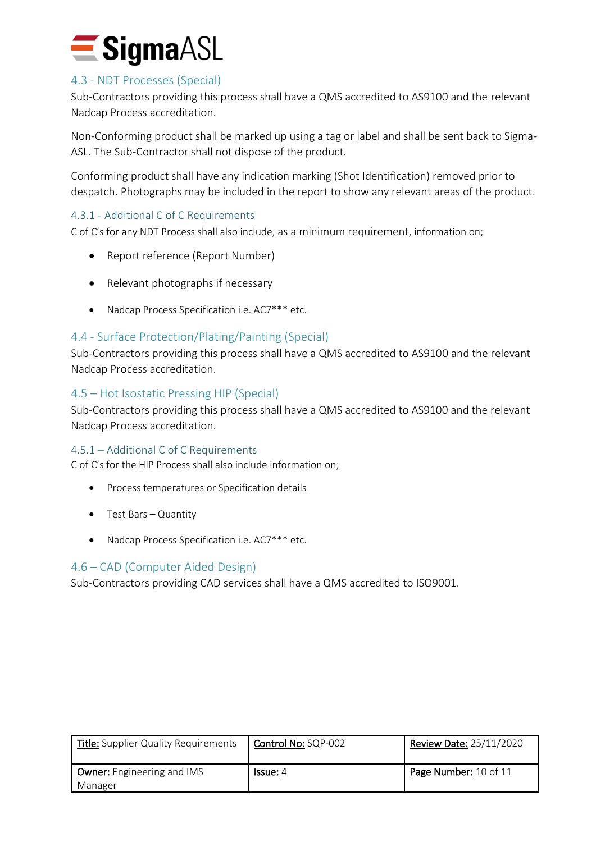

# <span id="page-9-0"></span>4.3 - NDT Processes (Special)

Sub-Contractors providing this process shall have a QMS accredited to AS9100 and the relevant Nadcap Process accreditation.

Non-Conforming product shall be marked up using a tag or label and shall be sent back to Sigma-ASL. The Sub-Contractor shall not dispose of the product.

Conforming product shall have any indication marking (Shot Identification) removed prior to despatch. Photographs may be included in the report to show any relevant areas of the product.

## <span id="page-9-1"></span>4.3.1 - Additional C of C Requirements

C of C's for any NDT Process shall also include, as a minimum requirement, information on;

- Report reference (Report Number)
- Relevant photographs if necessary
- Nadcap Process Specification i.e. AC7\*\*\* etc.

## <span id="page-9-2"></span>4.4 - Surface Protection/Plating/Painting (Special)

Sub-Contractors providing this process shall have a QMS accredited to AS9100 and the relevant Nadcap Process accreditation.

#### <span id="page-9-3"></span>4.5 – Hot Isostatic Pressing HIP (Special)

Sub-Contractors providing this process shall have a QMS accredited to AS9100 and the relevant Nadcap Process accreditation.

#### <span id="page-9-4"></span>4.5.1 – Additional C of C Requirements

C of C's for the HIP Process shall also include information on;

- Process temperatures or Specification details
- Test Bars Quantity
- Nadcap Process Specification i.e. AC7\*\*\* etc.

#### <span id="page-9-5"></span>4.6 – CAD (Computer Aided Design)

Sub-Contractors providing CAD services shall have a QMS accredited to ISO9001.

| <b>Title:</b> Supplier Quality Requirements  | <b>Control No: SQP-002</b> | Review Date: 25/11/2020 |
|----------------------------------------------|----------------------------|-------------------------|
| <b>Owner:</b> Engineering and IMS<br>Manager | <u>Issue:</u> 4            | Page Number: 10 of 11   |